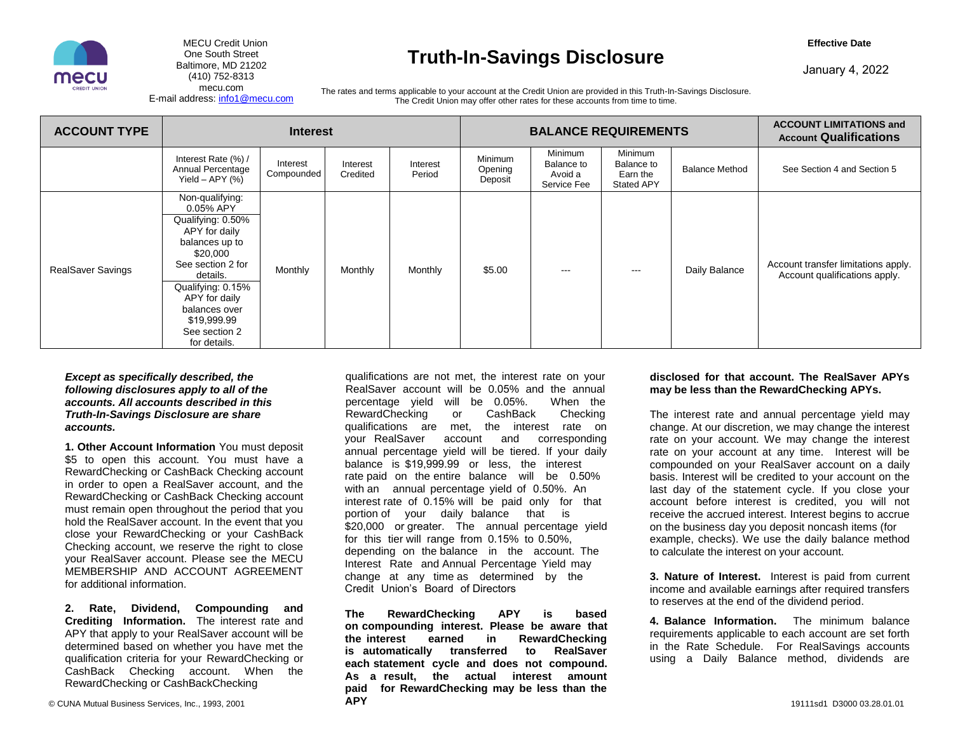

MECU Credit Union **Effective Date** 

# One South Street<br>
Baltimore, MD 21202<br>
(410) 752-8313<br> **Truth-In-Savings Disclosure**<br> **Property Control of Savings Disclosure**

[mecu.com](https://mecu.com) The rates and terms applicable to your account at the Credit Union are provided in this Truth-In-Savings Disclosure.<br>The Credit Union may offer other rates for these accounts from time to time.

| <b>ACCOUNT TYPE</b>      | <b>Interest</b>                                                                                                                                                                                                                          |                        |                      |                    | <b>BALANCE REQUIREMENTS</b>   |                                                 |                                                        | <b>ACCOUNT LIMITATIONS and</b><br><b>Account Qualifications</b> |                                                                      |
|--------------------------|------------------------------------------------------------------------------------------------------------------------------------------------------------------------------------------------------------------------------------------|------------------------|----------------------|--------------------|-------------------------------|-------------------------------------------------|--------------------------------------------------------|-----------------------------------------------------------------|----------------------------------------------------------------------|
|                          | Interest Rate (%) /<br>Annual Percentage<br>Yield $-$ APY $(%)$                                                                                                                                                                          | Interest<br>Compounded | Interest<br>Credited | Interest<br>Period | Minimum<br>Opening<br>Deposit | Minimum<br>Balance to<br>Avoid a<br>Service Fee | Minimum<br>Balance to<br>Earn the<br><b>Stated APY</b> | <b>Balance Method</b>                                           | See Section 4 and Section 5                                          |
| <b>RealSaver Savings</b> | Non-qualifying:<br>0.05% APY<br>Qualifying: 0.50%<br>APY for daily<br>balances up to<br>\$20,000<br>See section 2 for<br>details.<br>Qualifying: 0.15%<br>APY for daily<br>balances over<br>\$19,999.99<br>See section 2<br>for details. | Monthly                | Monthly              | Monthly            | \$5.00                        | ---                                             | $\qquad \qquad \cdots$                                 | Daily Balance                                                   | Account transfer limitations apply.<br>Account qualifications apply. |

### *Except as specifically described, the following disclosures apply to all of the accounts. All accounts described in this Truth-In-Savings Disclosure are share accounts.*

**1. Other Account Information** You must deposit \$5 to open this account. You must have a RewardChecking or CashBack Checking account in order to open a RealSaver account, and the RewardChecking or CashBack Checking account must remain open throughout the period that you hold the RealSaver account. In the event that you close your RewardChecking or your CashBack Checking account, we reserve the right to close your RealSaver account. Please see the MECU MEMBERSHIP AND ACCOUNT AGREEMENT for additional information.

**2. Rate, Dividend, Compounding and Crediting Information.** The interest rate and APY that apply to your RealSaver account will be determined based on whether you have met the qualification criteria for your RewardChecking or CashBack Checking account. When the RewardChecking or CashBackChecking

qualifications are not met, the interest rate on your RealSaver account will be 0.05% and the annual percentage yield will be 0.05%. RewardChecking or CashBack Checking qualifications are met, the interest rate on your RealSaver account and corresponding annual percentage yield will be tiered. If your daily balance is \$19,999.99 or less, the interest rate paid on the entire balance will be 0.50% with an annual percentage yield of 0.50%. An interest rate of 0.15% will be paid only for that portion of your daily balance that is \$20,000 or greater. The annual percentage yield for this tier will range from 0.15% to 0.50%, depending on the balance in the account. The Interest Rate and Annual Percentage Yield may change at any time as determined by the Credit Union's Board of Directors

**The RewardChecking APY is based on compounding interest. Please be aware that the interest earned in RewardChecking is automatically transferred to RealSaver each statement cycle and does not compound. As a result, the actual interest amount paid for RewardChecking may be less than the APY** 

### **disclosed for that account. The RealSaver APYs may be less than the RewardChecking APYs.**

The interest rate and annual percentage yield may change. At our discretion, we may change the interest rate on your account. We may change the interest rate on your account at any time. Interest will be compounded on your RealSaver account on a daily basis. Interest will be credited to your account on the last day of the statement cycle. If you close your account before interest is credited, you will not receive the accrued interest. Interest begins to accrue on the business day you deposit noncash items (for example, checks). We use the daily balance method to calculate the interest on your account.

**3. Nature of Interest.** Interest is paid from current income and available earnings after required transfers to reserves at the end of the dividend period.

**4. Balance Information.** The minimum balance requirements applicable to each account are set forth in the Rate Schedule. For RealSavings accounts using a Daily Balance method, dividends are